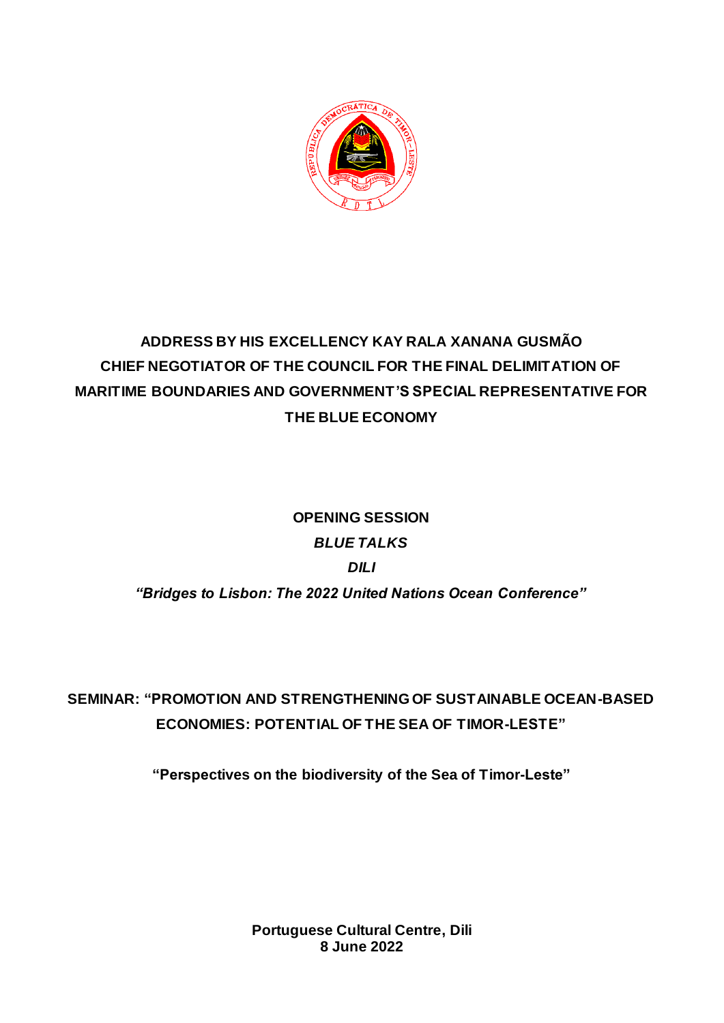

## **ADDRESS BY HIS EXCELLENCY KAY RALA XANANA GUSMÃO CHIEF NEGOTIATOR OF THE COUNCIL FOR THE FINAL DELIMITATION OF MARITIME BOUNDARIES AND GOVERNMENT'S SPECIAL REPRESENTATIVE FOR THE BLUE ECONOMY**

# **OPENING SESSION** *BLUE TALKS DILI "Bridges to Lisbon: The 2022 United Nations Ocean Conference"*

**SEMINAR: "PROMOTION AND STRENGTHENING OF SUSTAINABLE OCEAN-BASED ECONOMIES: POTENTIAL OF THE SEA OF TIMOR-LESTE"**

**"Perspectives on the biodiversity of the Sea of Timor-Leste"**

**Portuguese Cultural Centre, Dili 8 June 2022**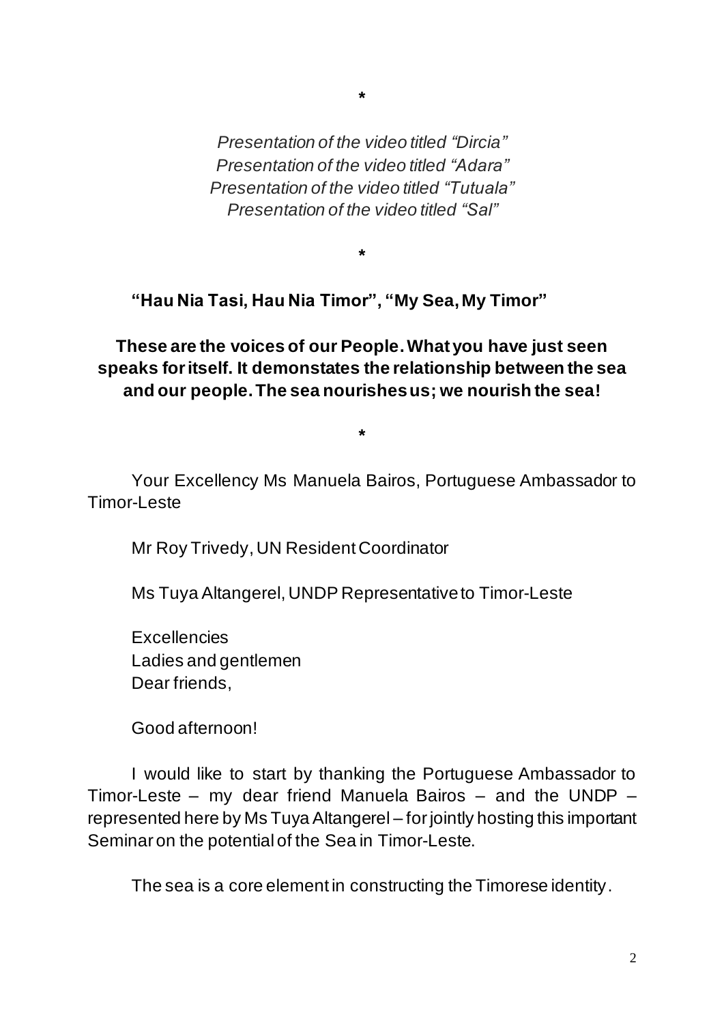*Presentation of the video titled "Dircia" Presentation of the video titled "Adara" Presentation of the video titled "Tutuala" Presentation of the video titled "Sal"*

**\***

**\***

**"Hau Nia Tasi, Hau Nia Timor", "My Sea, My Timor"**

**These are the voices of our People. What you have just seen speaks for itself. It demonstates the relationship between the sea and our people. The sea nourishes us; we nourish the sea!**

**\***

Your Excellency Ms Manuela Bairos, Portuguese Ambassador to Timor-Leste

Mr Roy Trivedy, UN Resident Coordinator

Ms Tuya Altangerel, UNDP Representative to Timor-Leste

**Excellencies** Ladies and gentlemen Dear friends,

Good afternoon!

I would like to start by thanking the Portuguese Ambassador to Timor-Leste – my dear friend Manuela Bairos – and the UNDP – represented here by Ms Tuya Altangerel – for jointly hosting this important Seminar on the potential of the Sea in Timor-Leste.

The sea is a core element in constructing the Timorese identity.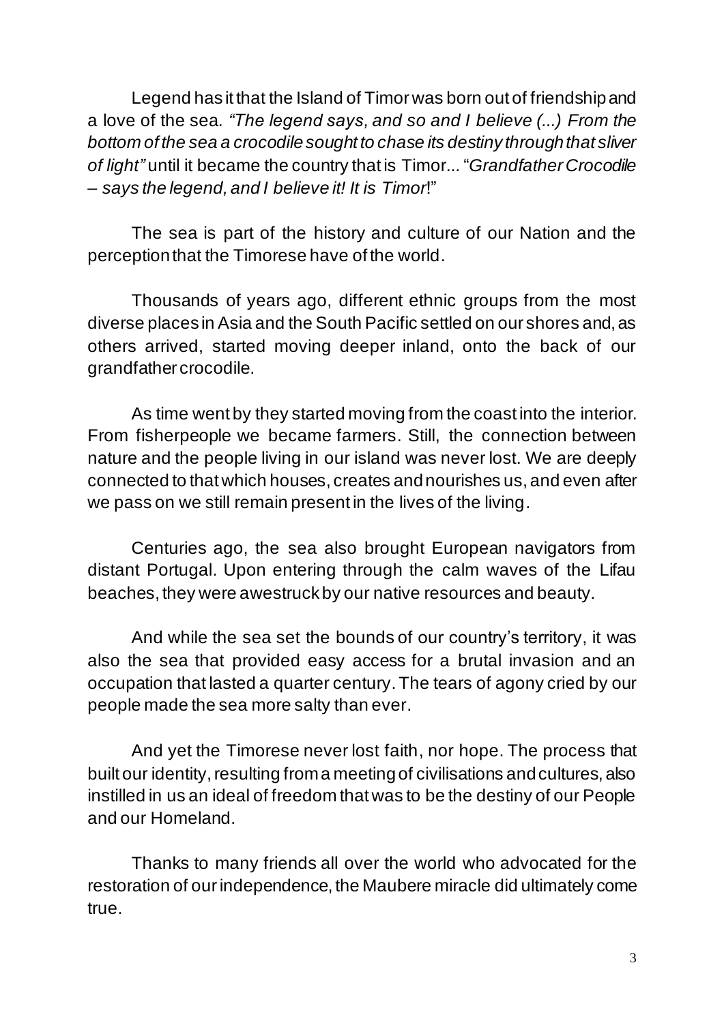Legend has it that the Island of Timor was born out of friendship and a love of the sea*. "The legend says, and so and I believe (...) From the bottom of the sea a crocodile sought to chase its destiny through that sliver of light"* until it became the country that is Timor... "*Grandfather Crocodile – says the legend, and I believe it! It is Timor*!"

The sea is part of the history and culture of our Nation and the perception that the Timorese have of the world.

Thousands of years ago, different ethnic groups from the most diverse places in Asia and the South Pacific settled on our shores and, as others arrived, started moving deeper inland, onto the back of our grandfather crocodile.

As time went by they started moving from the coast into the interior. From fisherpeople we became farmers. Still, the connection between nature and the people living in our island was never lost. We are deeply connected to that which houses, creates and nourishes us, and even after we pass on we still remain present in the lives of the living.

Centuries ago, the sea also brought European navigators from distant Portugal. Upon entering through the calm waves of the Lifau beaches, they were awestruck by our native resources and beauty.

And while the sea set the bounds of our country's territory, it was also the sea that provided easy access for a brutal invasion and an occupation that lasted a quarter century. The tears of agony cried by our people made the sea more salty than ever.

And yet the Timorese never lost faith, nor hope. The process that built our identity, resulting from a meeting of civilisations and cultures, also instilled in us an ideal of freedom that was to be the destiny of our People and our Homeland.

Thanks to many friends all over the world who advocated for the restoration of our independence, the Maubere miracle did ultimately come true.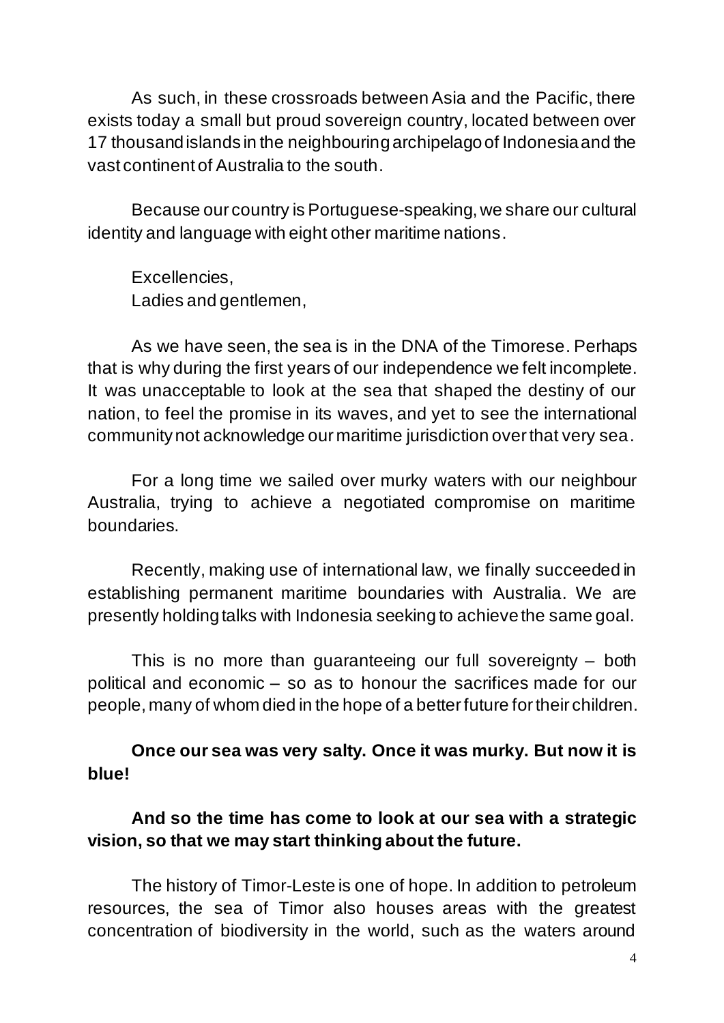As such, in these crossroads between Asia and the Pacific, there exists today a small but proud sovereign country, located between over 17 thousand islands in the neighbouring archipelago of Indonesia and the vast continent of Australia to the south.

Because our country is Portuguese-speaking, we share our cultural identity and language with eight other maritime nations.

Excellencies, Ladies and gentlemen,

As we have seen, the sea is in the DNA of the Timorese. Perhaps that is why during the first years of our independence we felt incomplete. It was unacceptable to look at the sea that shaped the destiny of our nation, to feel the promise in its waves, and yet to see the international community not acknowledge our maritime jurisdiction over that very sea.

For a long time we sailed over murky waters with our neighbour Australia, trying to achieve a negotiated compromise on maritime boundaries.

Recently, making use of international law, we finally succeeded in establishing permanent maritime boundaries with Australia. We are presently holding talks with Indonesia seeking to achieve the same goal.

This is no more than guaranteeing our full sovereignty – both political and economic – so as to honour the sacrifices made for our people, many of whom died in the hope of a better future for their children.

#### **Once our sea was very salty. Once it was murky. But now it is blue!**

#### **And so the time has come to look at our sea with a strategic vision, so that we may start thinking about the future.**

The history of Timor-Leste is one of hope. In addition to petroleum resources, the sea of Timor also houses areas with the greatest concentration of biodiversity in the world, such as the waters around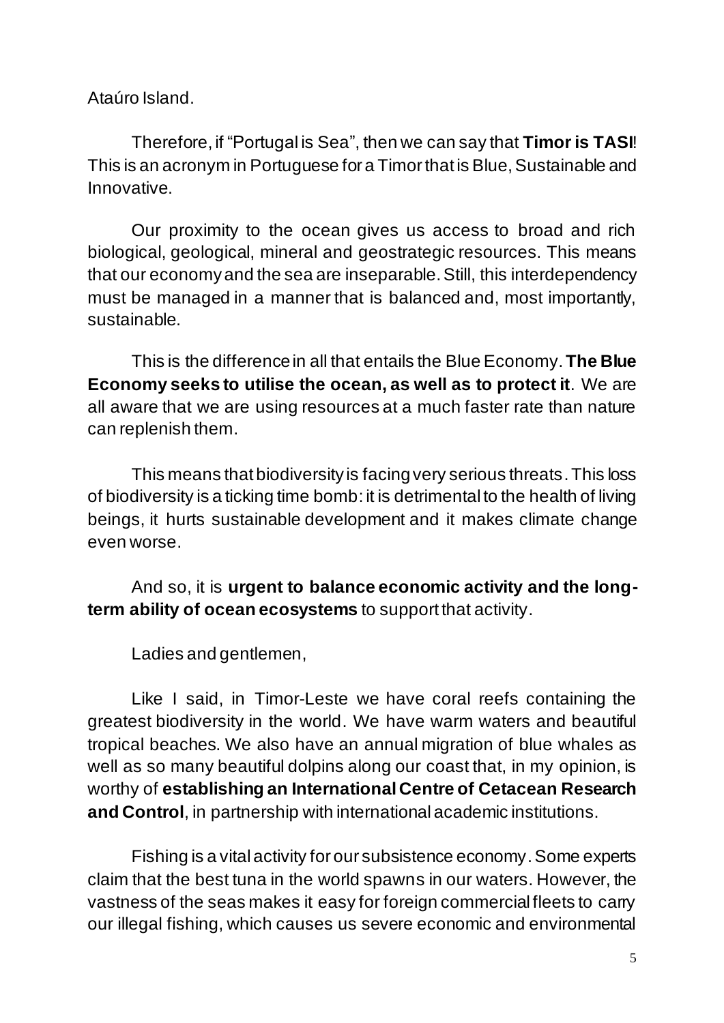Ataúro Island.

Therefore, if "Portugal is Sea", then we can say that **Timor is TASI**! This is an acronym in Portuguese for a Timor that is Blue, Sustainable and Innovative.

Our proximity to the ocean gives us access to broad and rich biological, geological, mineral and geostrategic resources. This means that our economy and the sea are inseparable.Still, this interdependency must be managed in a manner that is balanced and, most importantly, sustainable.

This is the difference in all that entails the Blue Economy.**The Blue Economy seeks to utilise the ocean, as well as to protect it**. We are all aware that we are using resources at a much faster rate than nature can replenish them.

This means that biodiversity is facing very serious threats. This loss of biodiversity is a ticking time bomb: it is detrimental to the health of living beings, it hurts sustainable development and it makes climate change even worse.

And so, it is **urgent to balance economic activity and the longterm ability of ocean ecosystems** to support that activity.

Ladies and gentlemen,

Like I said, in Timor-Leste we have coral reefs containing the greatest biodiversity in the world. We have warm waters and beautiful tropical beaches. We also have an annual migration of blue whales as well as so many beautiful dolpins along our coast that, in my opinion, is worthy of **establishing an International Centre of Cetacean Research and Control**, in partnership with international academic institutions.

Fishing is a vital activity for our subsistence economy. Some experts claim that the best tuna in the world spawns in our waters. However, the vastness of the seas makes it easy for foreign commercial fleets to carry our illegal fishing, which causes us severe economic and environmental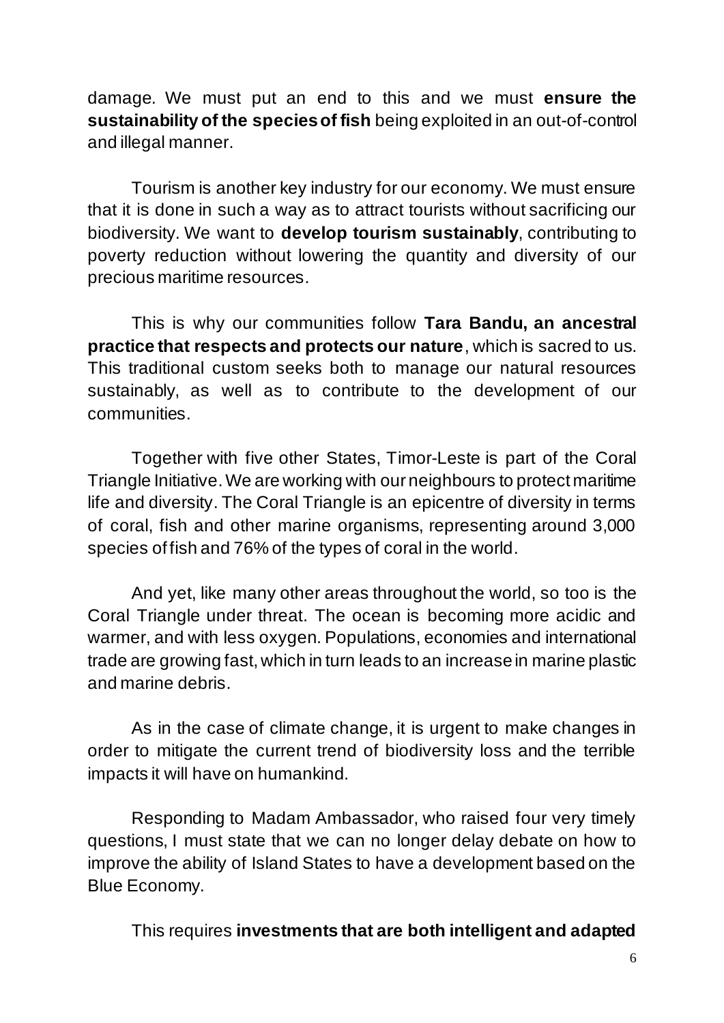damage. We must put an end to this and we must **ensure the sustainability of the species of fish** being exploited in an out-of-control and illegal manner.

Tourism is another key industry for our economy. We must ensure that it is done in such a way as to attract tourists without sacrificing our biodiversity. We want to **develop tourism sustainably**, contributing to poverty reduction without lowering the quantity and diversity of our precious maritime resources.

This is why our communities follow **Tara Bandu, an ancestral practice that respects and protects our nature**, which is sacred to us. This traditional custom seeks both to manage our natural resources sustainably, as well as to contribute to the development of our communities.

Together with five other States, Timor-Leste is part of the Coral Triangle Initiative. We are working with our neighbours to protect maritime life and diversity. The Coral Triangle is an epicentre of diversity in terms of coral, fish and other marine organisms, representing around 3,000 species of fish and 76% of the types of coral in the world.

And yet, like many other areas throughout the world, so too is the Coral Triangle under threat. The ocean is becoming more acidic and warmer, and with less oxygen. Populations, economies and international trade are growing fast, which in turn leads to an increase in marine plastic and marine debris.

As in the case of climate change, it is urgent to make changes in order to mitigate the current trend of biodiversity loss and the terrible impacts it will have on humankind.

Responding to Madam Ambassador, who raised four very timely questions, I must state that we can no longer delay debate on how to improve the ability of Island States to have a development based on the Blue Economy.

This requires **investments that are both intelligent and adapted**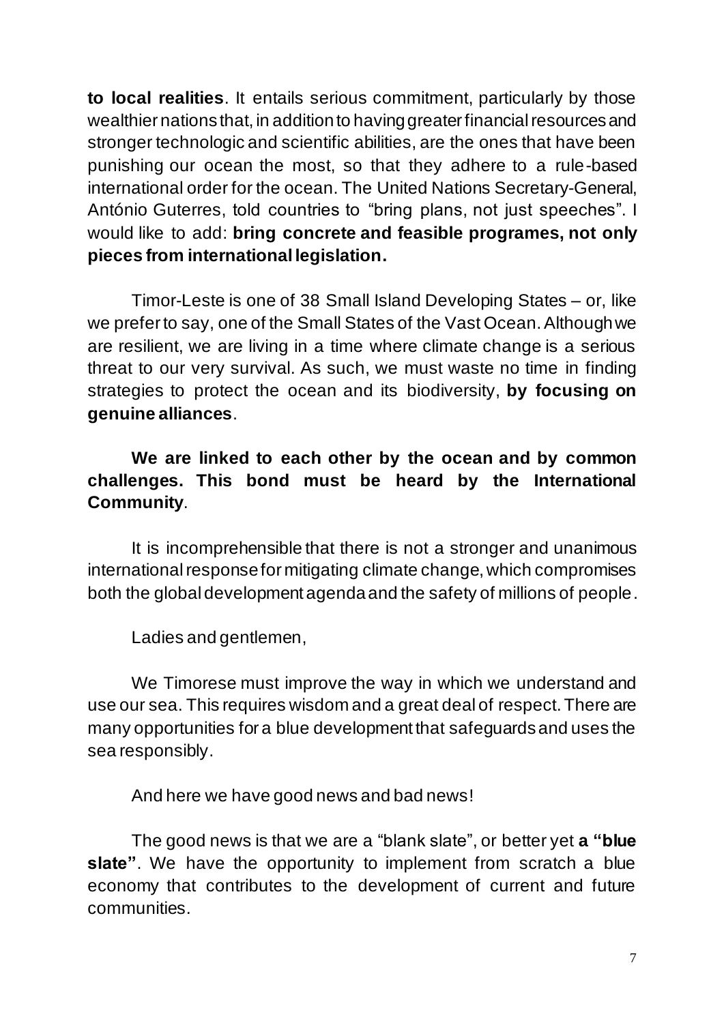**to local realities**. It entails serious commitment, particularly by those wealthier nations that, in addition to having greater financial resources and stronger technologic and scientific abilities, are the ones that have been punishing our ocean the most, so that they adhere to a rule-based international order for the ocean. The United Nations Secretary-General, António Guterres, told countries to "bring plans, not just speeches". I would like to add: **bring concrete and feasible programes, not only pieces from international legislation.**

Timor-Leste is one of 38 Small Island Developing States – or, like we prefer to say, one of the Small States of the Vast Ocean. Although we are resilient, we are living in a time where climate change is a serious threat to our very survival. As such, we must waste no time in finding strategies to protect the ocean and its biodiversity, **by focusing on genuine alliances**.

### **We are linked to each other by the ocean and by common challenges. This bond must be heard by the International Community**.

It is incomprehensible that there is not a stronger and unanimous international response for mitigating climate change, which compromises both the global development agenda and the safety of millions of people.

Ladies and gentlemen,

We Timorese must improve the way in which we understand and use our sea. This requires wisdom and a great deal of respect. There are many opportunities for a blue development that safeguards and uses the sea responsibly.

And here we have good news and bad news!

The good news is that we are a "blank slate", or better yet **a "blue slate"**. We have the opportunity to implement from scratch a blue economy that contributes to the development of current and future communities.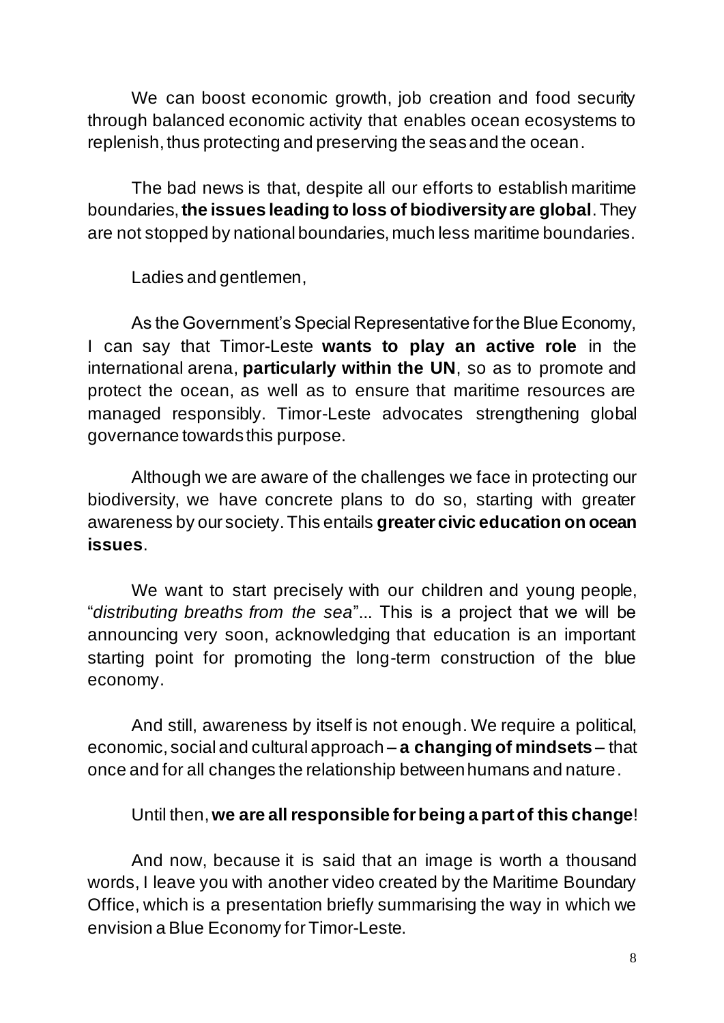We can boost economic growth, job creation and food security through balanced economic activity that enables ocean ecosystems to replenish, thus protecting and preserving the seas and the ocean.

The bad news is that, despite all our efforts to establish maritime boundaries, **the issues leading to loss of biodiversity are global**. They are not stopped by national boundaries, much less maritime boundaries.

Ladies and gentlemen,

As the Government's Special Representative for the Blue Economy, I can say that Timor-Leste **wants to play an active role** in the international arena, **particularly within the UN**, so as to promote and protect the ocean, as well as to ensure that maritime resources are managed responsibly. Timor-Leste advocates strengthening global governance towards this purpose.

Although we are aware of the challenges we face in protecting our biodiversity, we have concrete plans to do so, starting with greater awareness by our society. This entails **greater civic education on ocean issues**.

We want to start precisely with our children and young people, "*distributing breaths from the sea*"... This is a project that we will be announcing very soon, acknowledging that education is an important starting point for promoting the long-term construction of the blue economy.

And still, awareness by itself is not enough. We require a political, economic, social and cultural approach – **a changing of mindsets** – that once and for all changes the relationship between humans and nature.

#### Until then, **we are all responsible for being a part of this change**!

And now, because it is said that an image is worth a thousand words, I leave you with another video created by the Maritime Boundary Office, which is a presentation briefly summarising the way in which we envision a Blue Economy for Timor-Leste.